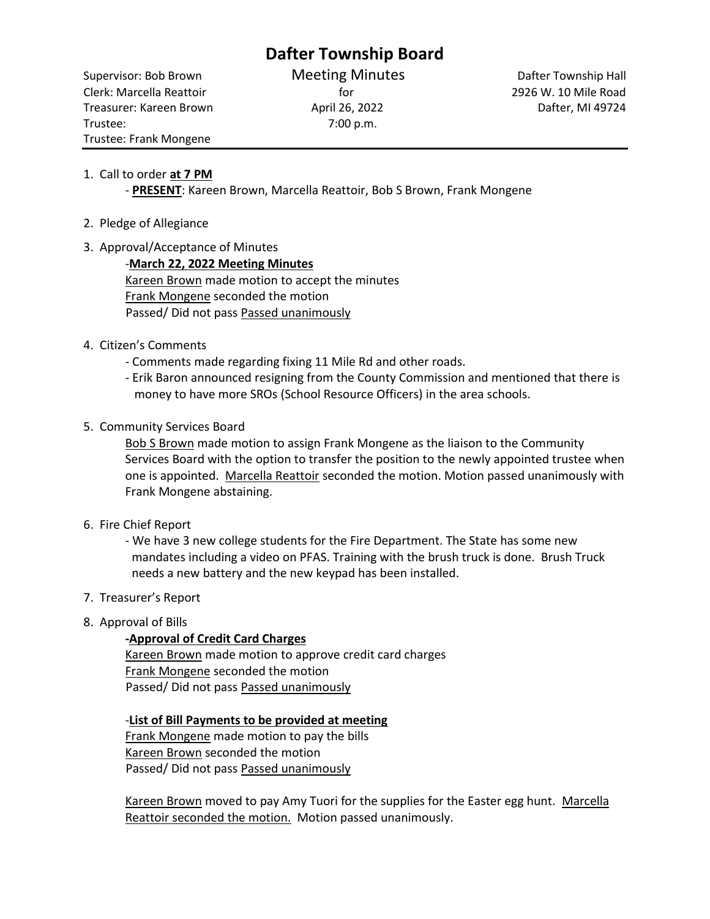# **Dafter Township Board**

Clerk: Marcella Reattoir for 2926 W. 10 Mile Road Treasurer: Kareen Brown **April 26, 2022 April 26, 2022** Dafter, MI 49724 Trustee: 7:00 p.m. Trustee: Frank Mongene

Supervisor: Bob Brown **Meeting Minutes** Dafter Township Hall

## 1. Call to order **at 7 PM**

- **PRESENT**: Kareen Brown, Marcella Reattoir, Bob S Brown, Frank Mongene

- 2. Pledge of Allegiance
- 3. Approval/Acceptance of Minutes

-**March 22, 2022 Meeting Minutes**  Kareen Brown made motion to accept the minutes Frank Mongene seconded the motion Passed/ Did not pass Passed unanimously

- 4. Citizen's Comments
	- Comments made regarding fixing 11 Mile Rd and other roads.
	- Erik Baron announced resigning from the County Commission and mentioned that there is money to have more SROs (School Resource Officers) in the area schools.
- 5. Community Services Board

Bob S Brown made motion to assign Frank Mongene as the liaison to the Community Services Board with the option to transfer the position to the newly appointed trustee when one is appointed. Marcella Reattoir seconded the motion. Motion passed unanimously with Frank Mongene abstaining.

6. Fire Chief Report

- We have 3 new college students for the Fire Department. The State has some new mandates including a video on PFAS. Training with the brush truck is done. Brush Truck needs a new battery and the new keypad has been installed.

- 7. Treasurer's Report
- 8. Approval of Bills

### **-Approval of Credit Card Charges**

Kareen Brown made motion to approve credit card charges Frank Mongene seconded the motion Passed/ Did not pass Passed unanimously

-**List of Bill Payments to be provided at meeting** Frank Mongene made motion to pay the bills Kareen Brown seconded the motion

Passed/ Did not pass Passed unanimously

Kareen Brown moved to pay Amy Tuori for the supplies for the Easter egg hunt. Marcella Reattoir seconded the motion. Motion passed unanimously.